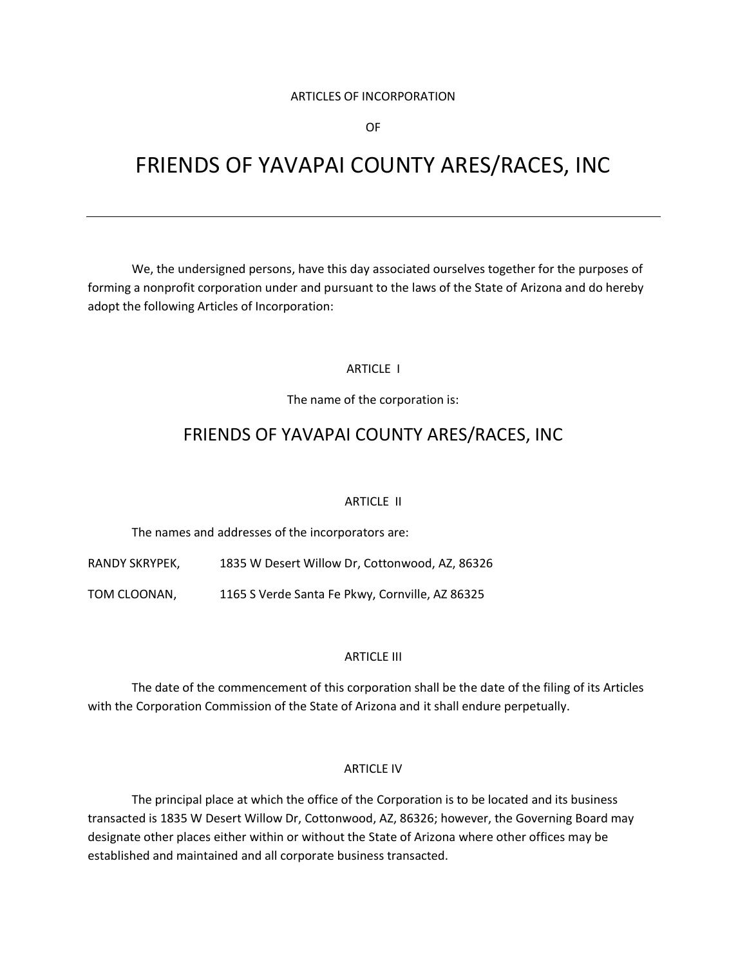### ARTICLES OF INCORPORATION

OF

# FRIENDS OF YAVAPAI COUNTY ARES/RACES, INC

We, the undersigned persons, have this day associated ourselves together for the purposes of forming a nonprofit corporation under and pursuant to the laws of the State of Arizona and do hereby adopt the following Articles of Incorporation:

# ARTICLE I

The name of the corporation is:

# FRIENDS OF YAVAPAI COUNTY ARES/RACES, INC

#### ARTICLE II

The names and addresses of the incorporators are:

RANDY SKRYPEK, 1835 W Desert Willow Dr, Cottonwood, AZ, 86326

TOM CLOONAN, 1165 S Verde Santa Fe Pkwy, Cornville, AZ 86325

# ARTICLE III

The date of the commencement of this corporation shall be the date of the filing of its Articles with the Corporation Commission of the State of Arizona and it shall endure perpetually.

#### ARTICLE IV

The principal place at which the office of the Corporation is to be located and its business transacted is 1835 W Desert Willow Dr, Cottonwood, AZ, 86326; however, the Governing Board may designate other places either within or without the State of Arizona where other offices may be established and maintained and all corporate business transacted.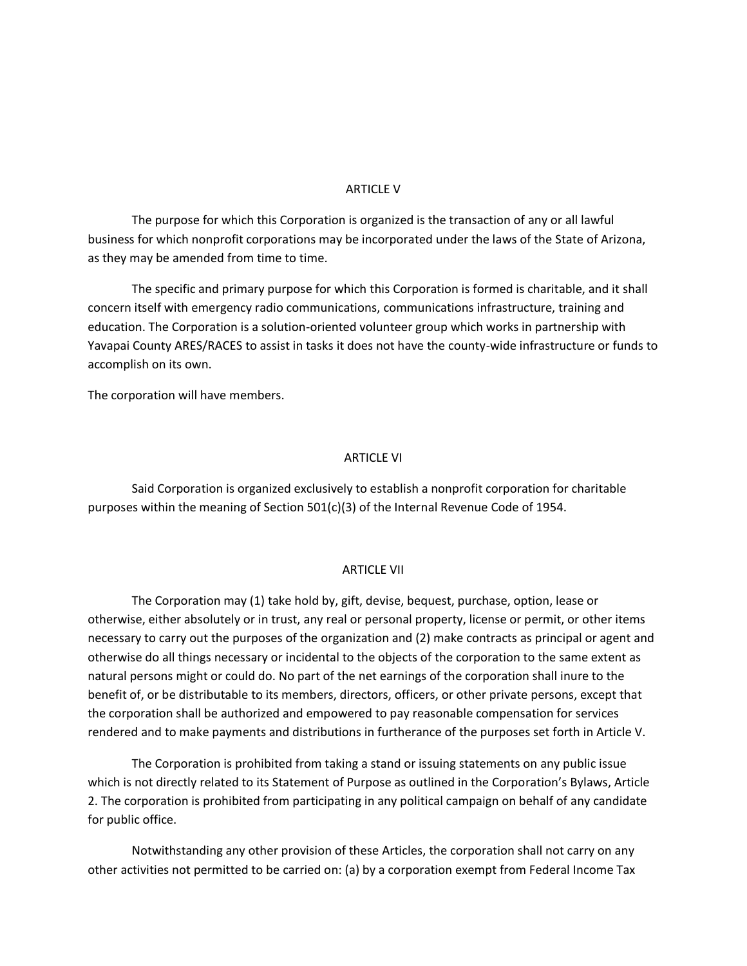#### ARTICLE V

The purpose for which this Corporation is organized is the transaction of any or all lawful business for which nonprofit corporations may be incorporated under the laws of the State of Arizona, as they may be amended from time to time.

The specific and primary purpose for which this Corporation is formed is charitable, and it shall concern itself with emergency radio communications, communications infrastructure, training and education. The Corporation is a solution-oriented volunteer group which works in partnership with Yavapai County ARES/RACES to assist in tasks it does not have the county-wide infrastructure or funds to accomplish on its own.

The corporation will have members.

## ARTICLE VI

Said Corporation is organized exclusively to establish a nonprofit corporation for charitable purposes within the meaning of Section 501(c)(3) of the Internal Revenue Code of 1954.

# ARTICLE VII

The Corporation may (1) take hold by, gift, devise, bequest, purchase, option, lease or otherwise, either absolutely or in trust, any real or personal property, license or permit, or other items necessary to carry out the purposes of the organization and (2) make contracts as principal or agent and otherwise do all things necessary or incidental to the objects of the corporation to the same extent as natural persons might or could do. No part of the net earnings of the corporation shall inure to the benefit of, or be distributable to its members, directors, officers, or other private persons, except that the corporation shall be authorized and empowered to pay reasonable compensation for services rendered and to make payments and distributions in furtherance of the purposes set forth in Article V.

The Corporation is prohibited from taking a stand or issuing statements on any public issue which is not directly related to its Statement of Purpose as outlined in the Corporation's Bylaws, Article 2. The corporation is prohibited from participating in any political campaign on behalf of any candidate for public office.

Notwithstanding any other provision of these Articles, the corporation shall not carry on any other activities not permitted to be carried on: (a) by a corporation exempt from Federal Income Tax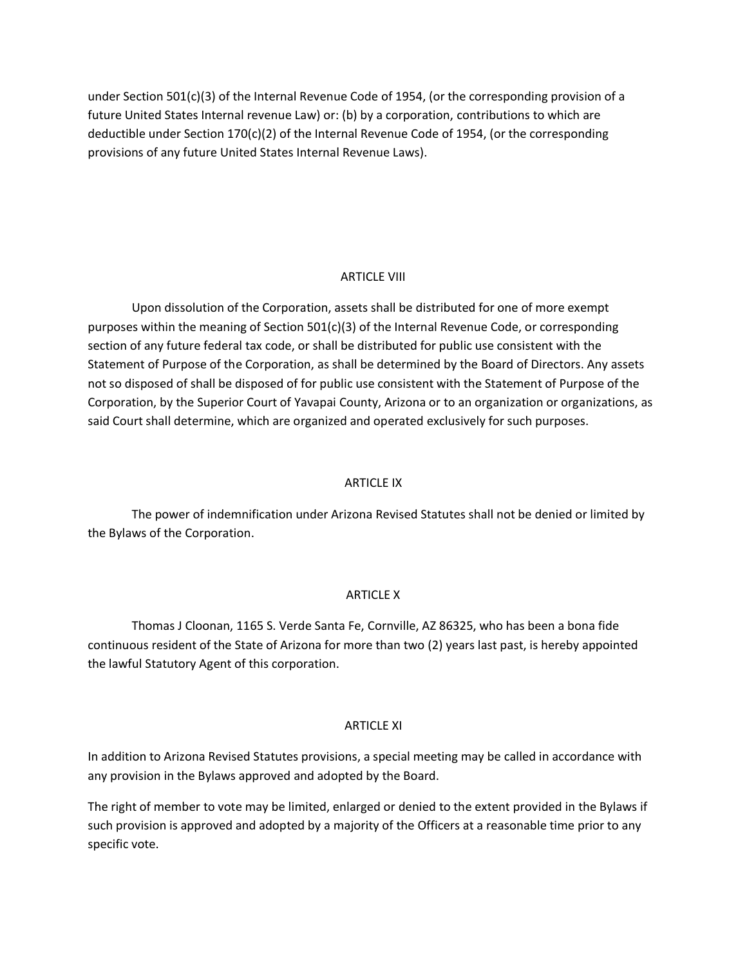under Section 501(c)(3) of the Internal Revenue Code of 1954, (or the corresponding provision of a future United States Internal revenue Law) or: (b) by a corporation, contributions to which are deductible under Section 170(c)(2) of the Internal Revenue Code of 1954, (or the corresponding provisions of any future United States Internal Revenue Laws).

# ARTICLE VIII

Upon dissolution of the Corporation, assets shall be distributed for one of more exempt purposes within the meaning of Section 501(c)(3) of the Internal Revenue Code, or corresponding section of any future federal tax code, or shall be distributed for public use consistent with the Statement of Purpose of the Corporation, as shall be determined by the Board of Directors. Any assets not so disposed of shall be disposed of for public use consistent with the Statement of Purpose of the Corporation, by the Superior Court of Yavapai County, Arizona or to an organization or organizations, as said Court shall determine, which are organized and operated exclusively for such purposes.

#### ARTICLE IX

The power of indemnification under Arizona Revised Statutes shall not be denied or limited by the Bylaws of the Corporation.

#### ARTICLE X

Thomas J Cloonan, 1165 S. Verde Santa Fe, Cornville, AZ 86325, who has been a bona fide continuous resident of the State of Arizona for more than two (2) years last past, is hereby appointed the lawful Statutory Agent of this corporation.

## ARTICLE XI

In addition to Arizona Revised Statutes provisions, a special meeting may be called in accordance with any provision in the Bylaws approved and adopted by the Board.

The right of member to vote may be limited, enlarged or denied to the extent provided in the Bylaws if such provision is approved and adopted by a majority of the Officers at a reasonable time prior to any specific vote.